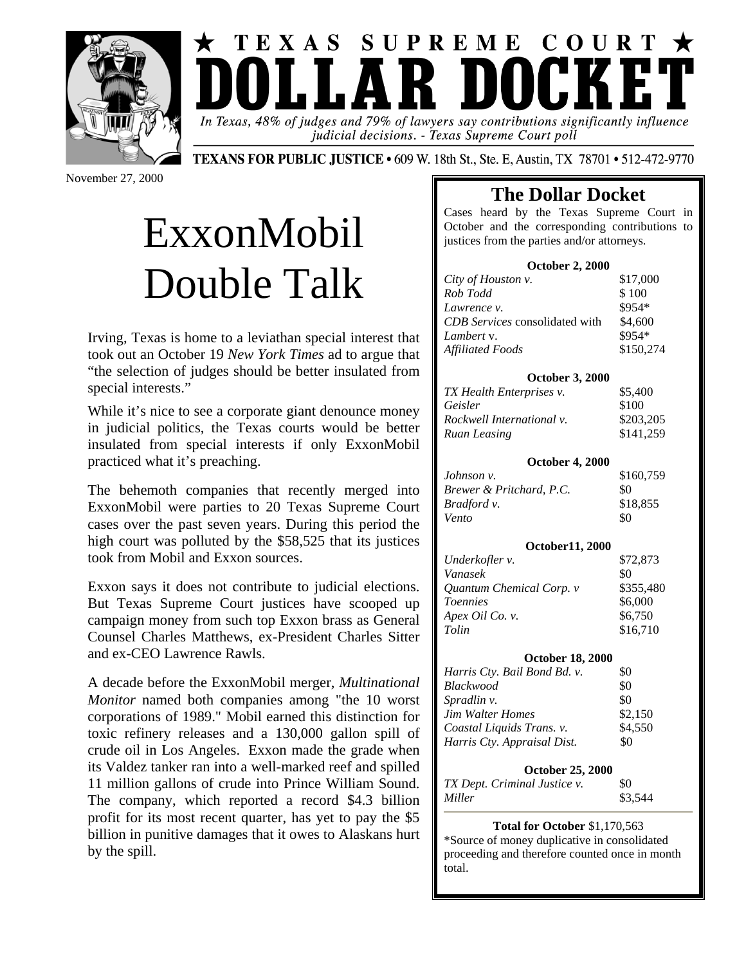



judicial decisions. - Texas Supreme Court poll

November 27, 2000

**TEXANS FOR PUBLIC JUSTICE • 609 W. 18th St., Ste. E, Austin, TX 78701 • 512-472-9770** 

# ExxonMobil Double Talk

Irving, Texas is home to a leviathan special interest that took out an October 19 *New York Times* ad to argue that "the selection of judges should be better insulated from special interests."

While it's nice to see a corporate giant denounce money in judicial politics, the Texas courts would be better insulated from special interests if only ExxonMobil practiced what it's preaching.

The behemoth companies that recently merged into ExxonMobil were parties to 20 Texas Supreme Court cases over the past seven years. During this period the high court was polluted by the \$58,525 that its justices took from Mobil and Exxon sources.

Exxon says it does not contribute to judicial elections. But Texas Supreme Court justices have scooped up campaign money from such top Exxon brass as General Counsel Charles Matthews, ex-President Charles Sitter and ex-CEO Lawrence Rawls.

A decade before the ExxonMobil merger, *Multinational Monitor* named both companies among "the 10 worst corporations of 1989." Mobil earned this distinction for toxic refinery releases and a 130,000 gallon spill of crude oil in Los Angeles. Exxon made the grade when its Valdez tanker ran into a well-marked reef and spilled 11 million gallons of crude into Prince William Sound. The company, which reported a record \$4.3 billion profit for its most recent quarter, has yet to pay the \$5 billion in punitive damages that it owes to Alaskans hurt by the spill.

## **The Dollar Docket**

Cases heard by the Texas Supreme Court in October and the corresponding contributions to justices from the parties and/or attorneys.

### **October 2, 2000**

| City of Houston v.                    | \$17,000  |
|---------------------------------------|-----------|
| Rob Todd                              | \$100     |
| Lawrence v.                           | \$954*    |
| <b>CDB</b> Services consolidated with | \$4,600   |
| Lambert v.                            | \$954*    |
| Affiliated Foods                      | \$150,274 |

### **October 3, 2000**

| TX Health Enterprises v.  | \$5,400   |
|---------------------------|-----------|
| Geisler                   | \$100     |
| Rockwell International v. | \$203,205 |
| Ruan Leasing              | \$141,259 |

### **October 4, 2000**

| Johnson v.               | \$160,759 |
|--------------------------|-----------|
| Brewer & Pritchard, P.C. | 80        |
| Bradford v.              | \$18,855  |
| Vento                    | \$0       |

### **October11, 2000**

| Underkofler v.           | \$72,873  |
|--------------------------|-----------|
| Vanasek                  | \$0       |
| Quantum Chemical Corp. v | \$355,480 |
| <b>Toennies</b>          | \$6,000   |
| Apex Oil Co. v.          | \$6,750   |
| Tolin                    | \$16,710  |

### **October 18, 2000**

| Harris Cty. Bail Bond Bd. v. | \$0     |
|------------------------------|---------|
| Blackwood                    | \$0     |
| <i>Spradlin v.</i>           | \$0     |
| <b>Jim Walter Homes</b>      | \$2,150 |
| Coastal Liquids Trans. v.    | \$4,550 |
| Harris Cty. Appraisal Dist.  | \$0     |
|                              |         |

### **October 25, 2000**

| TX Dept. Criminal Justice v. | -\$0    |
|------------------------------|---------|
| Miller                       | \$3,544 |

### **Total for October** \$1,170,563

\*Source of money duplicative in consolidated proceeding and therefore counted once in month total.